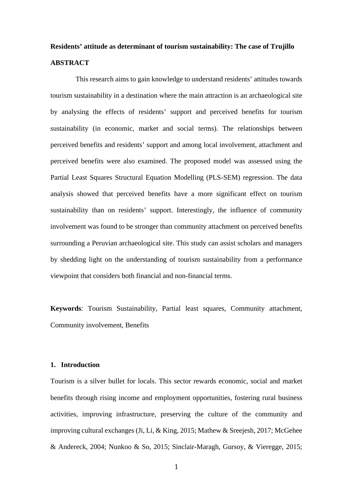# **Residents' attitude as determinant of tourism sustainability: The case of Trujillo ABSTRACT**

This research aims to gain knowledge to understand residents' attitudes towards tourism sustainability in a destination where the main attraction is an archaeological site by analysing the effects of residents' support and perceived benefits for tourism sustainability (in economic, market and social terms). The relationships between perceived benefits and residents' support and among local involvement, attachment and perceived benefits were also examined. The proposed model was assessed using the Partial Least Squares Structural Equation Modelling (PLS-SEM) regression. The data analysis showed that perceived benefits have a more significant effect on tourism sustainability than on residents' support. Interestingly, the influence of community involvement was found to be stronger than community attachment on perceived benefits surrounding a Peruvian archaeological site. This study can assist scholars and managers by shedding light on the understanding of tourism sustainability from a performance viewpoint that considers both financial and non-financial terms.

**Keywords**: Tourism Sustainability, Partial least squares, Community attachment, Community involvement, Benefits

#### **1. Introduction**

Tourism is a silver bullet for locals. This sector rewards economic, social and market benefits through rising income and employment opportunities, fostering rural business activities, improving infrastructure, preserving the culture of the community and improving cultural exchanges (Ji, Li, & King, 2015; Mathew & Sreejesh, 2017; McGehee & Andereck, 2004; Nunkoo & So, 2015; Sinclair-Maragh, Gursoy, & Vieregge, 2015;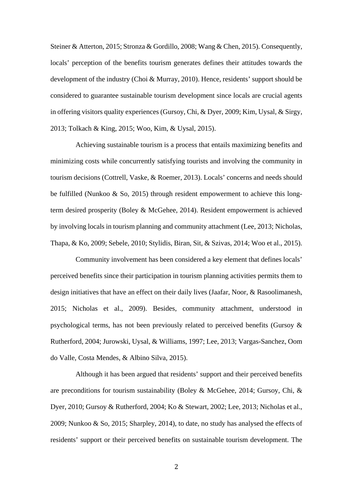Steiner & Atterton, 2015; Stronza & Gordillo, 2008; Wang & Chen, 2015). Consequently, locals' perception of the benefits tourism generates defines their attitudes towards the development of the industry (Choi & Murray, 2010). Hence, residents' support should be considered to guarantee sustainable tourism development since locals are crucial agents in offering visitors quality experiences (Gursoy, Chi, & Dyer, 2009; Kim, Uysal, & Sirgy, 2013; Tolkach & King, 2015; Woo, Kim, & Uysal, 2015).

Achieving sustainable tourism is a process that entails maximizing benefits and minimizing costs while concurrently satisfying tourists and involving the community in tourism decisions (Cottrell, Vaske, & Roemer, 2013). Locals' concerns and needs should be fulfilled (Nunkoo & So, 2015) through resident empowerment to achieve this longterm desired prosperity (Boley & McGehee, 2014). Resident empowerment is achieved by involving locals in tourism planning and community attachment (Lee, 2013; Nicholas, Thapa, & Ko, 2009; Sebele, 2010; Stylidis, Biran, Sit, & Szivas, 2014; Woo et al., 2015).

Community involvement has been considered a key element that defines locals' perceived benefits since their participation in tourism planning activities permits them to design initiatives that have an effect on their daily lives (Jaafar, Noor, & Rasoolimanesh, 2015; Nicholas et al., 2009). Besides, community attachment, understood in psychological terms, has not been previously related to perceived benefits (Gursoy & Rutherford, 2004; Jurowski, Uysal, & Williams, 1997; Lee, 2013; Vargas-Sanchez, Oom do Valle, Costa Mendes, & Albino Silva, 2015).

Although it has been argued that residents' support and their perceived benefits are preconditions for tourism sustainability (Boley & McGehee, 2014; Gursoy, Chi, & Dyer, 2010; Gursoy & Rutherford, 2004; Ko & Stewart, 2002; Lee, 2013; Nicholas et al., 2009; Nunkoo & So, 2015; Sharpley, 2014), to date, no study has analysed the effects of residents' support or their perceived benefits on sustainable tourism development. The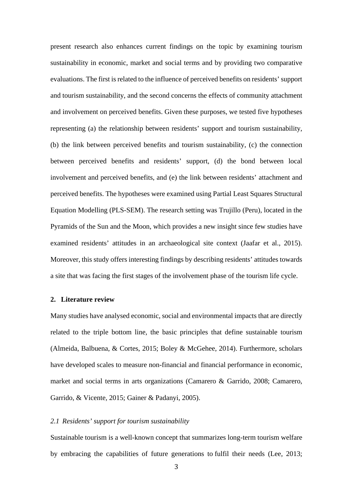present research also enhances current findings on the topic by examining tourism sustainability in economic, market and social terms and by providing two comparative evaluations. The first is related to the influence of perceived benefits on residents' support and tourism sustainability, and the second concerns the effects of community attachment and involvement on perceived benefits. Given these purposes, we tested five hypotheses representing (a) the relationship between residents' support and tourism sustainability, (b) the link between perceived benefits and tourism sustainability, (c) the connection between perceived benefits and residents' support, (d) the bond between local involvement and perceived benefits, and (e) the link between residents' attachment and perceived benefits. The hypotheses were examined using Partial Least Squares Structural Equation Modelling (PLS-SEM). The research setting was Trujillo (Peru), located in the Pyramids of the Sun and the Moon, which provides a new insight since few studies have examined residents' attitudes in an archaeological site context (Jaafar et al., 2015). Moreover, this study offers interesting findings by describing residents' attitudes towards a site that was facing the first stages of the involvement phase of the tourism life cycle.

### **2. Literature review**

Many studies have analysed economic, social and environmental impacts that are directly related to the triple bottom line, the basic principles that define sustainable tourism (Almeida, Balbuena, & Cortes, 2015; Boley & McGehee, 2014). Furthermore, scholars have developed scales to measure non-financial and financial performance in economic, market and social terms in arts organizations (Camarero & Garrido, 2008; Camarero, Garrido, & Vicente, 2015; Gainer & Padanyi, 2005).

#### *2.1 Residents' support for tourism sustainability*

Sustainable tourism is a well-known concept that summarizes long-term tourism welfare by embracing the capabilities of future generations to fulfil their needs (Lee, 2013;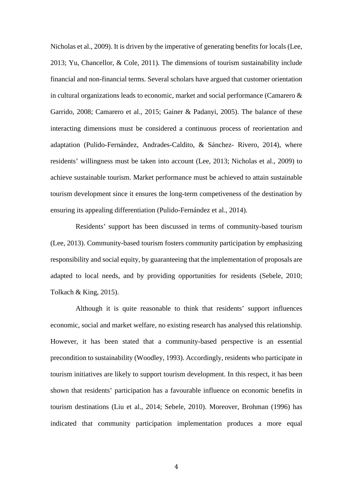Nicholas et al., 2009). It is driven by the imperative of generating benefits for locals (Lee, 2013; Yu, Chancellor, & Cole, 2011). The dimensions of tourism sustainability include financial and non-financial terms. Several scholars have argued that customer orientation in cultural organizations leads to economic, market and social performance (Camarero & Garrido, 2008; Camarero et al., 2015; Gainer & Padanyi, 2005). The balance of these interacting dimensions must be considered a continuous process of reorientation and adaptation (Pulido-Fernández, Andrades-Caldito, & Sánchez- Rivero, 2014), where residents' willingness must be taken into account (Lee, 2013; Nicholas et al., 2009) to achieve sustainable tourism. Market performance must be achieved to attain sustainable tourism development since it ensures the long-term competiveness of the destination by ensuring its appealing differentiation (Pulido-Fernández et al., 2014).

Residents' support has been discussed in terms of community-based tourism (Lee, 2013). Community-based tourism fosters community participation by emphasizing responsibility and social equity, by guaranteeing that the implementation of proposals are adapted to local needs, and by providing opportunities for residents (Sebele, 2010; Tolkach & King, 2015).

Although it is quite reasonable to think that residents' support influences economic, social and market welfare, no existing research has analysed this relationship. However, it has been stated that a community-based perspective is an essential precondition to sustainability (Woodley, 1993). Accordingly, residents who participate in tourism initiatives are likely to support tourism development. In this respect, it has been shown that residents' participation has a favourable influence on economic benefits in tourism destinations (Liu et al., 2014; Sebele, 2010). Moreover, Brohman (1996) has indicated that community participation implementation produces a more equal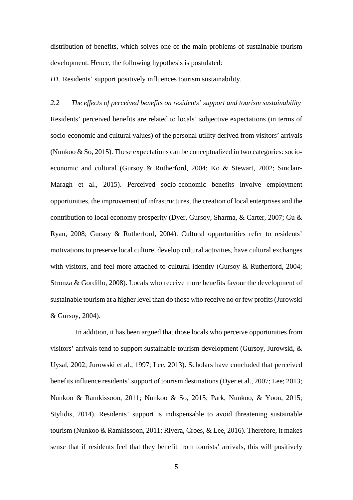distribution of benefits, which solves one of the main problems of sustainable tourism development. Hence, the following hypothesis is postulated:

*H1.* Residents' support positively influences tourism sustainability.

*2.2 The effects of perceived benefits on residents' support and tourism sustainability* Residents' perceived benefits are related to locals' subjective expectations (in terms of socio-economic and cultural values) of the personal utility derived from visitors' arrivals (Nunkoo  $\&$  So, 2015). These expectations can be conceptualized in two categories: socioeconomic and cultural (Gursoy & Rutherford, 2004; Ko & Stewart, 2002; Sinclair-Maragh et al., 2015). Perceived socio-economic benefits involve employment opportunities, the improvement of infrastructures, the creation of local enterprises and the contribution to local economy prosperity (Dyer, Gursoy, Sharma, & Carter, 2007; Gu & Ryan, 2008; Gursoy & Rutherford, 2004). Cultural opportunities refer to residents' motivations to preserve local culture, develop cultural activities, have cultural exchanges with visitors, and feel more attached to cultural identity (Gursoy & Rutherford, 2004; Stronza & Gordillo, 2008). Locals who receive more benefits favour the development of sustainable tourism at a higher level than do those who receive no or few profits(Jurowski & Gursoy, 2004).

In addition, it has been argued that those locals who perceive opportunities from visitors' arrivals tend to support sustainable tourism development (Gursoy, Jurowski,  $\&$ Uysal, 2002; Jurowski et al., 1997; Lee, 2013). Scholars have concluded that perceived benefits influence residents' support of tourism destinations (Dyer et al., 2007; Lee; 2013; Nunkoo & Ramkissoon, 2011; Nunkoo & So, 2015; Park, Nunkoo, & Yoon, 2015; Stylidis, 2014). Residents' support is indispensable to avoid threatening sustainable tourism (Nunkoo & Ramkissoon, 2011; Rivera, Croes, & Lee, 2016). Therefore, it makes sense that if residents feel that they benefit from tourists' arrivals, this will positively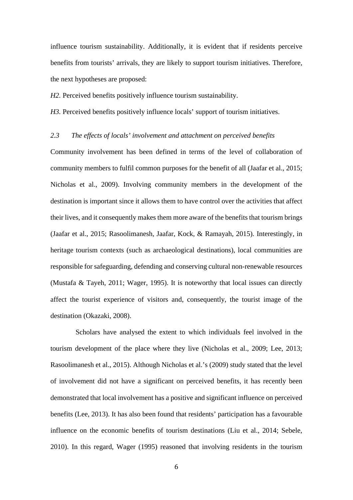influence tourism sustainability. Additionally, it is evident that if residents perceive benefits from tourists' arrivals, they are likely to support tourism initiatives. Therefore, the next hypotheses are proposed:

*H2*. Perceived benefits positively influence tourism sustainability.

*H3.* Perceived benefits positively influence locals' support of tourism initiatives.

## *2.3 The effects of locals' involvement and attachment on perceived benefits*

Community involvement has been defined in terms of the level of collaboration of community members to fulfil common purposes for the benefit of all (Jaafar et al., 2015; Nicholas et al., 2009). Involving community members in the development of the destination is important since it allows them to have control over the activities that affect their lives, and it consequently makes them more aware of the benefits that tourism brings (Jaafar et al., 2015; Rasoolimanesh, Jaafar, Kock, & Ramayah, 2015). Interestingly, in heritage tourism contexts (such as archaeological destinations), local communities are responsible for safeguarding, defending and conserving cultural non-renewable resources (Mustafa & Tayeh, 2011; Wager, 1995). It is noteworthy that local issues can directly affect the tourist experience of visitors and, consequently, the tourist image of the destination (Okazaki, 2008).

Scholars have analysed the extent to which individuals feel involved in the tourism development of the place where they live (Nicholas et al., 2009; Lee, 2013; Rasoolimanesh et al., 2015). Although Nicholas et al.'s (2009) study stated that the level of involvement did not have a significant on perceived benefits, it has recently been demonstrated that local involvement has a positive and significant influence on perceived benefits (Lee, 2013). It has also been found that residents' participation has a favourable influence on the economic benefits of tourism destinations (Liu et al., 2014; Sebele, 2010). In this regard, Wager (1995) reasoned that involving residents in the tourism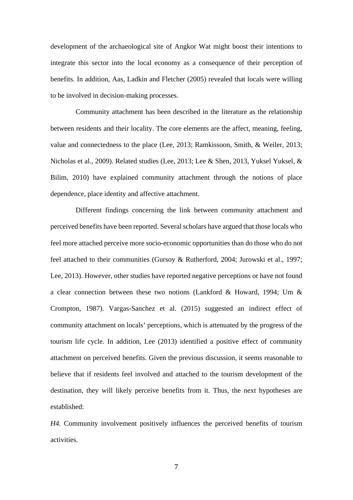development of the archaeological site of Angkor Wat might boost their intentions to integrate this sector into the local economy as a consequence of their perception of benefits. In addition, Aas, Ladkin and Fletcher (2005) revealed that locals were willing to be involved in decision-making processes.

Community attachment has been described in the literature as the relationship between residents and their locality. The core elements are the affect, meaning, feeling, value and connectedness to the place (Lee, 2013; Ramkissoon, Smith, & Weiler, 2013; Nicholas et al., 2009). Related studies (Lee, 2013; Lee & Shen, 2013, Yuksel Yuksel, & Bilim, 2010) have explained community attachment through the notions of place dependence, place identity and affective attachment.

Different findings concerning the link between community attachment and perceived benefits have been reported. Several scholars have argued that those locals who feel more attached perceive more socio-economic opportunities than do those who do not feel attached to their communities (Gursoy & Rutherford, 2004; Jurowski et al., 1997; Lee, 2013). However, other studies have reported negative perceptions or have not found a clear connection between these two notions (Lankford & Howard, 1994; Um & Crompton, 1987). Vargas-Sanchez et al. (2015) suggested an indirect effect of community attachment on locals' perceptions, which is attenuated by the progress of the tourism life cycle. In addition, Lee (2013) identified a positive effect of community attachment on perceived benefits. Given the previous discussion, it seems reasonable to believe that if residents feel involved and attached to the tourism development of the destination, they will likely perceive benefits from it. Thus, the next hypotheses are established:

*H4.* Community involvement positively influences the perceived benefits of tourism activities.

7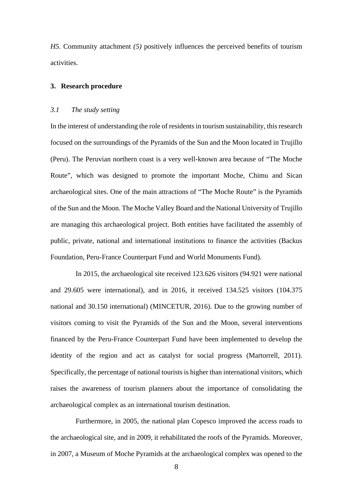*H5.* Community attachment *(5)* positively influences the perceived benefits of tourism activities.

#### **3. Research procedure**

## *3.1 The study setting*

In the interest of understanding the role of residents in tourism sustainability, this research focused on the surroundings of the Pyramids of the Sun and the Moon located in Trujillo (Peru). The Peruvian northern coast is a very well-known area because of "The Moche Route", which was designed to promote the important Moche, Chimu and Sican archaeological sites. One of the main attractions of "The Moche Route" is the Pyramids of the Sun and the Moon. The Moche Valley Board and the National University of Trujillo are managing this archaeological project. Both entities have facilitated the assembly of public, private, national and international institutions to finance the activities (Backus Foundation, Peru-France Counterpart Fund and World Monuments Fund).

In 2015, the archaeological site received 123.626 visitors (94.921 were national and 29.605 were international), and in 2016, it received 134.525 visitors (104.375 national and 30.150 international) (MINCETUR, 2016). Due to the growing number of visitors coming to visit the Pyramids of the Sun and the Moon, several interventions financed by the Peru-France Counterpart Fund have been implemented to develop the identity of the region and act as catalyst for social progress (Martorrell, 2011). Specifically, the percentage of national tourists is higher than international visitors, which raises the awareness of tourism planners about the importance of consolidating the archaeological complex as an international tourism destination.

Furthermore, in 2005, the national plan Copesco improved the access roads to the archaeological site, and in 2009, it rehabilitated the roofs of the Pyramids. Moreover, in 2007, a Museum of Moche Pyramids at the archaeological complex was opened to the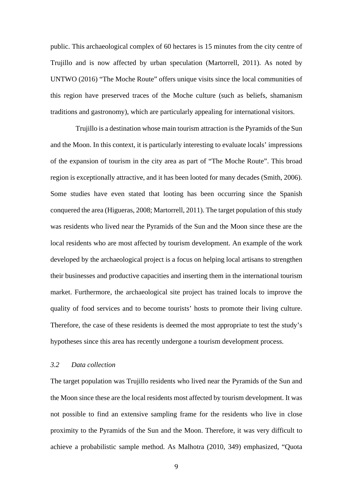public. This archaeological complex of 60 hectares is 15 minutes from the city centre of Trujillo and is now affected by urban speculation (Martorrell, 2011). As noted by UNTWO (2016) "The Moche Route" offers unique visits since the local communities of this region have preserved traces of the Moche culture (such as beliefs, shamanism traditions and gastronomy), which are particularly appealing for international visitors.

Trujillo is a destination whose main tourism attraction is the Pyramids of the Sun and the Moon. In this context, it is particularly interesting to evaluate locals' impressions of the expansion of tourism in the city area as part of "The Moche Route". This broad region is exceptionally attractive, and it has been looted for many decades (Smith, 2006). Some studies have even stated that looting has been occurring since the Spanish conquered the area (Higueras, 2008; Martorrell, 2011). The target population of this study was residents who lived near the Pyramids of the Sun and the Moon since these are the local residents who are most affected by tourism development. An example of the work developed by the archaeological project is a focus on helping local artisans to strengthen their businesses and productive capacities and inserting them in the international tourism market. Furthermore, the archaeological site project has trained locals to improve the quality of food services and to become tourists' hosts to promote their living culture. Therefore, the case of these residents is deemed the most appropriate to test the study's hypotheses since this area has recently undergone a tourism development process.

# *3.2 Data collection*

The target population was Trujillo residents who lived near the Pyramids of the Sun and the Moon since these are the local residents most affected by tourism development. It was not possible to find an extensive sampling frame for the residents who live in close proximity to the Pyramids of the Sun and the Moon. Therefore, it was very difficult to achieve a probabilistic sample method. As Malhotra (2010, 349) emphasized, "Quota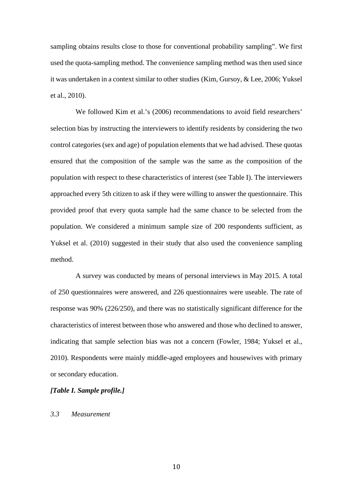sampling obtains results close to those for conventional probability sampling". We first used the quota-sampling method. The convenience sampling method was then used since it was undertaken in a context similar to other studies (Kim, Gursoy, & Lee, 2006; Yuksel et al., 2010).

We followed Kim et al.'s (2006) recommendations to avoid field researchers' selection bias by instructing the interviewers to identify residents by considering the two control categories (sex and age) of population elements that we had advised. These quotas ensured that the composition of the sample was the same as the composition of the population with respect to these characteristics of interest (see Table I). The interviewers approached every 5th citizen to ask if they were willing to answer the questionnaire. This provided proof that every quota sample had the same chance to be selected from the population. We considered a minimum sample size of 200 respondents sufficient, as Yuksel et al. (2010) suggested in their study that also used the convenience sampling method.

A survey was conducted by means of personal interviews in May 2015. A total of 250 questionnaires were answered, and 226 questionnaires were useable. The rate of response was 90% (226/250), and there was no statistically significant difference for the characteristics of interest between those who answered and those who declined to answer, indicating that sample selection bias was not a concern (Fowler, 1984; Yuksel et al., 2010). Respondents were mainly middle-aged employees and housewives with primary or secondary education.

# *[Table I. Sample profile.]*

## *3.3 Measurement*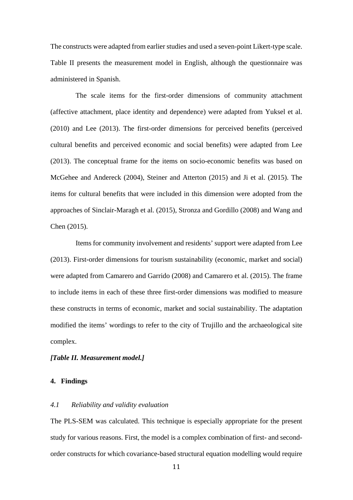The constructs were adapted from earlier studies and used a seven-point Likert-type scale. Table II presents the measurement model in English, although the questionnaire was administered in Spanish.

The scale items for the first-order dimensions of community attachment (affective attachment, place identity and dependence) were adapted from Yuksel et al. (2010) and Lee (2013). The first-order dimensions for perceived benefits (perceived cultural benefits and perceived economic and social benefits) were adapted from Lee (2013). The conceptual frame for the items on socio-economic benefits was based on McGehee and Andereck (2004), Steiner and Atterton (2015) and Ji et al. (2015). The items for cultural benefits that were included in this dimension were adopted from the approaches of Sinclair-Maragh et al. (2015), Stronza and Gordillo (2008) and Wang and Chen (2015).

Items for community involvement and residents' support were adapted from Lee (2013). First-order dimensions for tourism sustainability (economic, market and social) were adapted from Camarero and Garrido (2008) and Camarero et al. (2015). The frame to include items in each of these three first-order dimensions was modified to measure these constructs in terms of economic, market and social sustainability. The adaptation modified the items' wordings to refer to the city of Trujillo and the archaeological site complex.

## *[Table II. Measurement model.]*

## **4. Findings**

## *4.1 Reliability and validity evaluation*

The PLS-SEM was calculated. This technique is especially appropriate for the present study for various reasons. First, the model is a complex combination of first- and secondorder constructs for which covariance-based structural equation modelling would require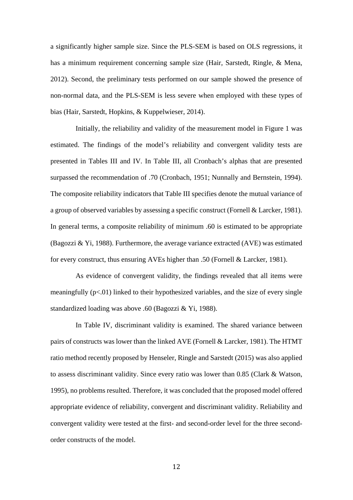a significantly higher sample size. Since the PLS-SEM is based on OLS regressions, it has a minimum requirement concerning sample size (Hair, Sarstedt, Ringle, & Mena, 2012). Second, the preliminary tests performed on our sample showed the presence of non-normal data, and the PLS-SEM is less severe when employed with these types of bias (Hair, Sarstedt, Hopkins, & Kuppelwieser, 2014).

Initially, the reliability and validity of the measurement model in Figure 1 was estimated. The findings of the model's reliability and convergent validity tests are presented in Tables III and IV. In Table III, all Cronbach's alphas that are presented surpassed the recommendation of .70 (Cronbach, 1951; Nunnally and Bernstein, 1994). The composite reliability indicators that Table III specifies denote the mutual variance of a group of observed variables by assessing a specific construct (Fornell & Larcker, 1981). In general terms, a composite reliability of minimum .60 is estimated to be appropriate (Bagozzi & Yi, 1988). Furthermore, the average variance extracted (AVE) was estimated for every construct, thus ensuring AVEs higher than .50 (Fornell & Larcker, 1981).

As evidence of convergent validity, the findings revealed that all items were meaningfully (p<.01) linked to their hypothesized variables, and the size of every single standardized loading was above .60 (Bagozzi & Yi, 1988).

In Table IV, discriminant validity is examined. The shared variance between pairs of constructs was lower than the linked AVE (Fornell & Larcker, 1981). The HTMT ratio method recently proposed by Henseler, Ringle and Sarstedt (2015) was also applied to assess discriminant validity. Since every ratio was lower than 0.85 (Clark & Watson, 1995), no problems resulted. Therefore, it was concluded that the proposed model offered appropriate evidence of reliability, convergent and discriminant validity. Reliability and convergent validity were tested at the first- and second-order level for the three secondorder constructs of the model.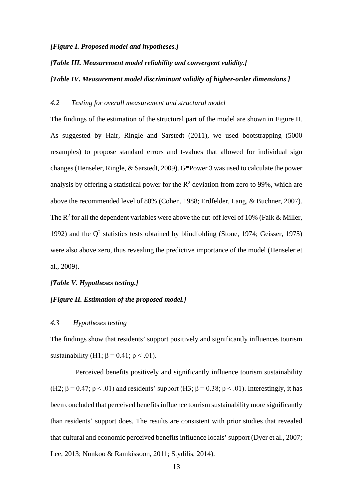#### *[Figure I. Proposed model and hypotheses.]*

## *[Table III. Measurement model reliability and convergent validity.]*

#### *[Table IV. Measurement model discriminant validity of higher-order dimensions*.*]*

# *4.2 Testing for overall measurement and structural model*

The findings of the estimation of the structural part of the model are shown in Figure II. As suggested by Hair, Ringle and Sarstedt (2011), we used bootstrapping (5000 resamples) to propose standard errors and t-values that allowed for individual sign changes (Henseler, Ringle, & Sarstedt, 2009). G\*Power 3 was used to calculate the power analysis by offering a statistical power for the  $R^2$  deviation from zero to 99%, which are above the recommended level of 80% (Cohen, 1988; Erdfelder, Lang, & Buchner, 2007). The  $\mathbb{R}^2$  for all the dependent variables were above the cut-off level of 10% (Falk & Miller, 1992) and the  $Q^2$  statistics tests obtained by blindfolding (Stone, 1974; Geisser, 1975) were also above zero, thus revealing the predictive importance of the model (Henseler et al., 2009).

# *[Table V. Hypotheses testing.]*

# *[Figure II. Estimation of the proposed model.]*

## *4.3 Hypotheses testing*

The findings show that residents' support positively and significantly influences tourism sustainability (H1;  $\beta$  = 0.41; p < .01).

Perceived benefits positively and significantly influence tourism sustainability (H2;  $\beta = 0.47$ ;  $p < .01$ ) and residents' support (H3;  $\beta = 0.38$ ;  $p < .01$ ). Interestingly, it has been concluded that perceived benefits influence tourism sustainability more significantly than residents' support does. The results are consistent with prior studies that revealed that cultural and economic perceived benefits influence locals' support (Dyer et al., 2007; Lee, 2013; Nunkoo & Ramkissoon, 2011; Stydilis, 2014).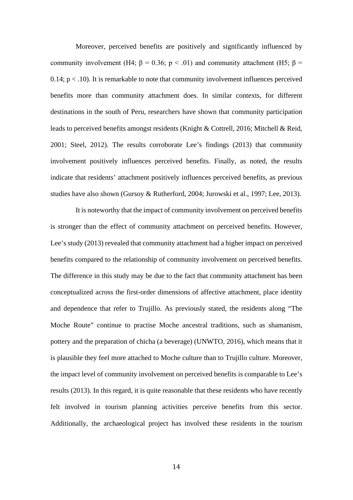Moreover, perceived benefits are positively and significantly influenced by community involvement (H4;  $\beta = 0.36$ ;  $p < .01$ ) and community attachment (H5;  $\beta =$ 0.14;  $p < .10$ ). It is remarkable to note that community involvement influences perceived benefits more than community attachment does. In similar contexts, for different destinations in the south of Peru, researchers have shown that community participation leads to perceived benefits amongst residents (Knight & Cottrell, 2016; Mitchell & Reid, 2001; Steel, 2012). The results corroborate Lee's findings (2013) that community involvement positively influences perceived benefits. Finally, as noted, the results indicate that residents' attachment positively influences perceived benefits, as previous studies have also shown (Gursoy & Rutherford, 2004; Jurowski et al., 1997; Lee, 2013).

It is noteworthy that the impact of community involvement on perceived benefits is stronger than the effect of community attachment on perceived benefits. However, Lee's study (2013) revealed that community attachment had a higher impact on perceived benefits compared to the relationship of community involvement on perceived benefits. The difference in this study may be due to the fact that community attachment has been conceptualized across the first-order dimensions of affective attachment, place identity and dependence that refer to Trujillo. As previously stated, the residents along "The Moche Route" continue to practise Moche ancestral traditions, such as shamanism, pottery and the preparation of chicha (a beverage) (UNWTO, 2016), which means that it is plausible they feel more attached to Moche culture than to Trujillo culture. Moreover, the impact level of community involvement on perceived benefits is comparable to Lee's results (2013). In this regard, it is quite reasonable that these residents who have recently felt involved in tourism planning activities perceive benefits from this sector. Additionally, the archaeological project has involved these residents in the tourism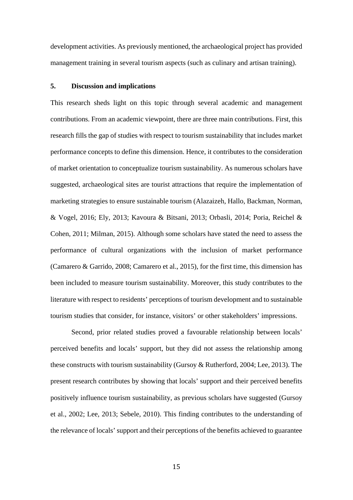development activities. As previously mentioned, the archaeological project has provided management training in several tourism aspects (such as culinary and artisan training).

# **5. Discussion and implications**

This research sheds light on this topic through several academic and management contributions. From an academic viewpoint, there are three main contributions. First, this research fills the gap of studies with respect to tourism sustainability that includes market performance concepts to define this dimension. Hence, it contributes to the consideration of market orientation to conceptualize tourism sustainability. As numerous scholars have suggested, archaeological sites are tourist attractions that require the implementation of marketing strategies to ensure sustainable tourism (Alazaizeh*,* Hallo, Backman, Norman, & Vogel, 2016; Ely, 2013; Kavoura & Bitsani, 2013; Orbasli, 2014; Poria, Reichel & Cohen, 2011; Milman, 2015). Although some scholars have stated the need to assess the performance of cultural organizations with the inclusion of market performance (Camarero & Garrido, 2008; Camarero et al., 2015), for the first time, this dimension has been included to measure tourism sustainability. Moreover, this study contributes to the literature with respect to residents' perceptions of tourism development and to sustainable tourism studies that consider, for instance, visitors' or other stakeholders' impressions.

Second, prior related studies proved a favourable relationship between locals' perceived benefits and locals' support, but they did not assess the relationship among these constructs with tourism sustainability (Gursoy & Rutherford, 2004; Lee, 2013). The present research contributes by showing that locals' support and their perceived benefits positively influence tourism sustainability, as previous scholars have suggested (Gursoy et al., 2002; Lee, 2013; Sebele, 2010). This finding contributes to the understanding of the relevance of locals' support and their perceptions of the benefits achieved to guarantee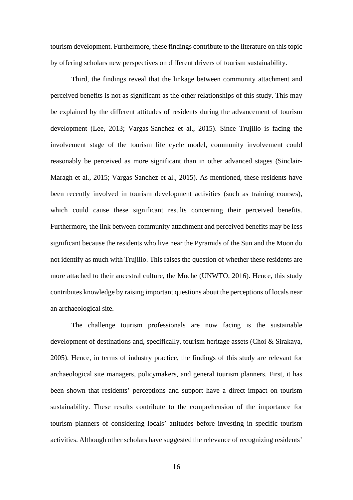tourism development. Furthermore, these findings contribute to the literature on this topic by offering scholars new perspectives on different drivers of tourism sustainability.

Third, the findings reveal that the linkage between community attachment and perceived benefits is not as significant as the other relationships of this study. This may be explained by the different attitudes of residents during the advancement of tourism development (Lee, 2013; Vargas-Sanchez et al., 2015). Since Trujillo is facing the involvement stage of the tourism life cycle model, community involvement could reasonably be perceived as more significant than in other advanced stages (Sinclair-Maragh et al., 2015; Vargas-Sanchez et al., 2015). As mentioned, these residents have been recently involved in tourism development activities (such as training courses), which could cause these significant results concerning their perceived benefits. Furthermore, the link between community attachment and perceived benefits may be less significant because the residents who live near the Pyramids of the Sun and the Moon do not identify as much with Trujillo. This raises the question of whether these residents are more attached to their ancestral culture, the Moche (UNWTO, 2016). Hence, this study contributes knowledge by raising important questions about the perceptions of locals near an archaeological site.

The challenge tourism professionals are now facing is the sustainable development of destinations and, specifically, tourism heritage assets (Choi & Sirakaya, 2005). Hence, in terms of industry practice, the findings of this study are relevant for archaeological site managers, policymakers, and general tourism planners. First, it has been shown that residents' perceptions and support have a direct impact on tourism sustainability. These results contribute to the comprehension of the importance for tourism planners of considering locals' attitudes before investing in specific tourism activities. Although other scholars have suggested the relevance of recognizing residents'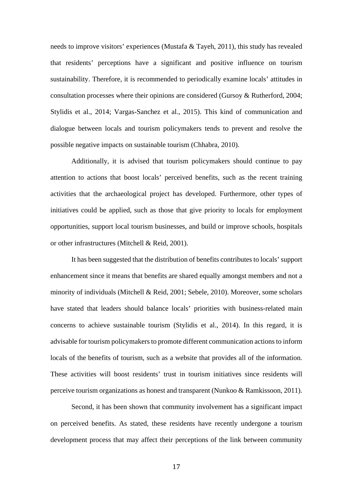needs to improve visitors' experiences (Mustafa & Tayeh, 2011), this study has revealed that residents' perceptions have a significant and positive influence on tourism sustainability. Therefore, it is recommended to periodically examine locals' attitudes in consultation processes where their opinions are considered (Gursoy & Rutherford, 2004; Stylidis et al., 2014; Vargas-Sanchez et al., 2015). This kind of communication and dialogue between locals and tourism policymakers tends to prevent and resolve the possible negative impacts on sustainable tourism (Chhabra, 2010).

Additionally, it is advised that tourism policymakers should continue to pay attention to actions that boost locals' perceived benefits, such as the recent training activities that the archaeological project has developed. Furthermore, other types of initiatives could be applied, such as those that give priority to locals for employment opportunities, support local tourism businesses, and build or improve schools, hospitals or other infrastructures (Mitchell & Reid, 2001).

It has been suggested that the distribution of benefits contributes to locals' support enhancement since it means that benefits are shared equally amongst members and not a minority of individuals (Mitchell & Reid, 2001; Sebele, 2010). Moreover, some scholars have stated that leaders should balance locals' priorities with business-related main concerns to achieve sustainable tourism (Stylidis et al., 2014). In this regard, it is advisable for tourism policymakers to promote different communication actions to inform locals of the benefits of tourism, such as a website that provides all of the information. These activities will boost residents' trust in tourism initiatives since residents will perceive tourism organizations as honest and transparent (Nunkoo & Ramkissoon, 2011).

Second, it has been shown that community involvement has a significant impact on perceived benefits. As stated, these residents have recently undergone a tourism development process that may affect their perceptions of the link between community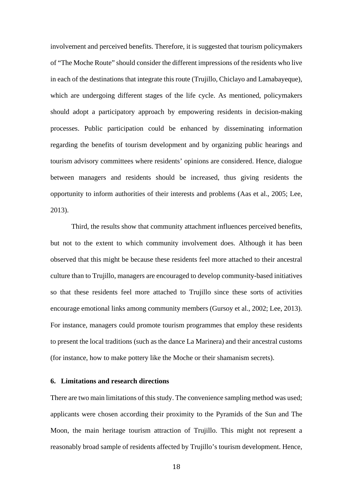involvement and perceived benefits. Therefore, it is suggested that tourism policymakers of "The Moche Route" should consider the different impressions of the residents who live in each of the destinations that integrate this route (Trujillo, Chiclayo and Lamabayeque), which are undergoing different stages of the life cycle. As mentioned, policymakers should adopt a participatory approach by empowering residents in decision-making processes. Public participation could be enhanced by disseminating information regarding the benefits of tourism development and by organizing public hearings and tourism advisory committees where residents' opinions are considered. Hence, dialogue between managers and residents should be increased, thus giving residents the opportunity to inform authorities of their interests and problems (Aas et al., 2005; Lee, 2013).

Third, the results show that community attachment influences perceived benefits, but not to the extent to which community involvement does. Although it has been observed that this might be because these residents feel more attached to their ancestral culture than to Trujillo, managers are encouraged to develop community-based initiatives so that these residents feel more attached to Trujillo since these sorts of activities encourage emotional links among community members (Gursoy et al., 2002; Lee, 2013). For instance, managers could promote tourism programmes that employ these residents to present the local traditions (such as the dance La Marinera) and their ancestral customs (for instance, how to make pottery like the Moche or their shamanism secrets).

## **6. Limitations and research directions**

There are two main limitations of this study. The convenience sampling method was used; applicants were chosen according their proximity to the Pyramids of the Sun and The Moon, the main heritage tourism attraction of Trujillo. This might not represent a reasonably broad sample of residents affected by Trujillo's tourism development. Hence,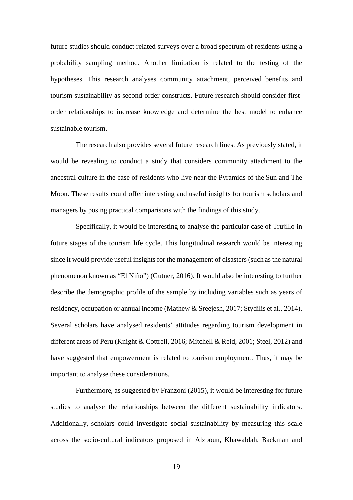future studies should conduct related surveys over a broad spectrum of residents using a probability sampling method. Another limitation is related to the testing of the hypotheses. This research analyses community attachment, perceived benefits and tourism sustainability as second-order constructs. Future research should consider firstorder relationships to increase knowledge and determine the best model to enhance sustainable tourism.

The research also provides several future research lines. As previously stated, it would be revealing to conduct a study that considers community attachment to the ancestral culture in the case of residents who live near the Pyramids of the Sun and The Moon. These results could offer interesting and useful insights for tourism scholars and managers by posing practical comparisons with the findings of this study.

Specifically, it would be interesting to analyse the particular case of Trujillo in future stages of the tourism life cycle. This longitudinal research would be interesting since it would provide useful insights for the management of disasters (such as the natural phenomenon known as "El Niño") (Gutner, 2016). It would also be interesting to further describe the demographic profile of the sample by including variables such as years of residency, occupation or annual income (Mathew & Sreejesh, 2017; Stydilis et al., 2014). Several scholars have analysed residents' attitudes regarding tourism development in different areas of Peru (Knight & Cottrell, 2016; Mitchell & Reid, 2001; Steel, 2012) and have suggested that empowerment is related to tourism employment. Thus, it may be important to analyse these considerations.

Furthermore, as suggested by Franzoni (2015), it would be interesting for future studies to analyse the relationships between the different sustainability indicators. Additionally, scholars could investigate social sustainability by measuring this scale across the socio-cultural indicators proposed in Alzboun, Khawaldah, Backman and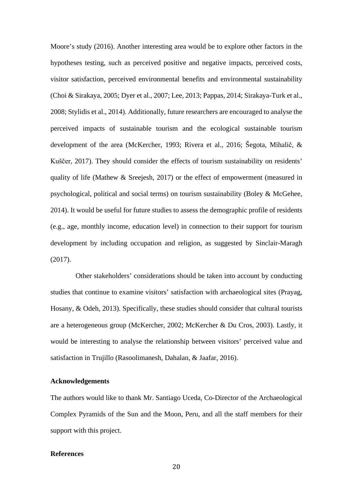Moore's study (2016). Another interesting area would be to explore other factors in the hypotheses testing, such as perceived positive and negative impacts, perceived costs, visitor satisfaction, perceived environmental benefits and environmental sustainability (Choi & Sirakaya, 2005; Dyer et al., 2007; Lee, 2013; Pappas, 2014; Sirakaya-Turk et al., 2008; Stylidis et al., 2014). Additionally, future researchers are encouraged to analyse the perceived impacts of sustainable tourism and the ecological sustainable tourism development of the area (McKercher, 1993; Rivera et al., 2016; Šegota, Mihalič, & Kuščer, 2017). They should consider the effects of tourism sustainability on residents' quality of life (Mathew & Sreejesh, 2017) or the effect of empowerment (measured in psychological, political and social terms) on tourism sustainability (Boley & McGehee, 2014). It would be useful for future studies to assess the demographic profile of residents (e.g., age, monthly income, education level) in connection to their support for tourism development by including occupation and religion, as suggested by Sinclair-Maragh (2017).

Other stakeholders' considerations should be taken into account by conducting studies that continue to examine visitors' satisfaction with archaeological sites (Prayag, Hosany, & Odeh, 2013). Specifically, these studies should consider that cultural tourists are a heterogeneous group (McKercher, 2002; McKercher & Du Cros, 2003). Lastly, it would be interesting to analyse the relationship between visitors' perceived value and satisfaction in Trujillo (Rasoolimanesh, Dahalan, & Jaafar, 2016).

## **Acknowledgements**

The authors would like to thank Mr. Santiago Uceda, Co-Director of the Archaeological Complex Pyramids of the Sun and the Moon, Peru, and all the staff members for their support with this project.

# **References**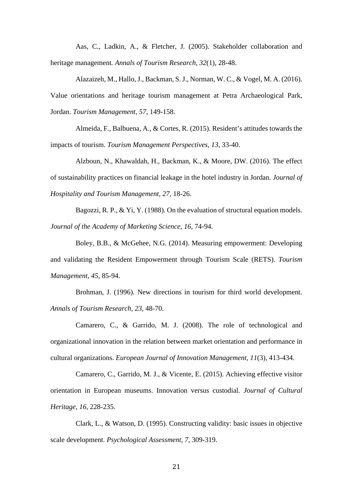Aas, C., Ladkin, A., & Fletcher, J. (2005). Stakeholder collaboration and heritage management*. Annals of Tourism Research*, *32*(1), 28-48.

Alazaizeh, M., Hallo, J., Backman, S. J., Norman, W. C., & Vogel, M. A. (2016). Value orientations and heritage tourism management at Petra Archaeological Park, Jordan. *Tourism Management*, *57,* 149-158.

Almeida, F., Balbuena, A., & Cortes, R. (2015). Resident's attitudes towards the impacts of tourism. *Tourism Management Perspectives*, *13*, 33-40.

Alzboun, N., Khawaldah, H., Backman, K., & Moore, DW. (2016). The effect of sustainability practices on financial leakage in the hotel industry in Jordan. *Journal of Hospitality and Tourism Management, 27,* 18-26.

Bagozzi, R. P., & Yi, Y. (1988). On the evaluation of structural equation models. *Journal of the Academy of Marketing Science*, *16*, 74-94.

Boley, B.B., & McGehee, N.G. (2014). Measuring empowerment: Developing and validating the Resident Empowerment through Tourism Scale (RETS). *Tourism Management, 45,* 85-94.

Brohman, J. (1996). New directions in tourism for third world development. *Annals of Tourism Research, 23*, 48-70.

Camarero, C., & Garrido, M. J. (2008). The role of technological and organizational innovation in the relation between market orientation and performance in cultural organizations. *European Journal of Innovation Management*, *11*(3), 413-434.

Camarero, C., Garrido, M. J., & Vicente, E. (2015). Achieving effective visitor orientation in European museums. Innovation versus custodial. *Journal of Cultural Heritage, 16*, 228-235.

Clark, L., & Watson, D. (1995). Constructing validity: basic issues in objective scale development. *Psychological Assessment, 7*, 309-319.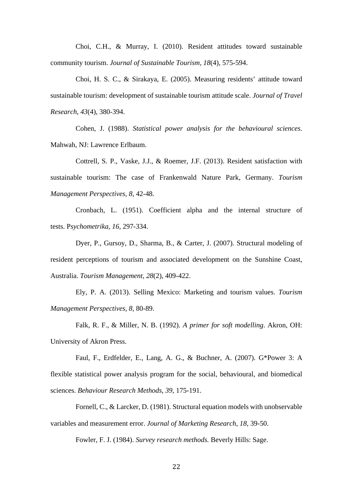Choi, C.H., & Murray, I. (2010). Resident attitudes toward sustainable community tourism. *Journal of Sustainable Tourism, 18*(4), 575-594.

Choi, H. S. C., & Sirakaya, E. (2005). Measuring residents' attitude toward sustainable tourism: development of sustainable tourism attitude scale. *Journal of Travel Research*, *43*(4), 380-394.

Cohen, J. (1988). *Statistical power analysis for the behavioural sciences*. Mahwah, NJ: Lawrence Erlbaum.

Cottrell, S. P., Vaske, J.J., & Roemer, J.F. (2013). Resident satisfaction with sustainable tourism: The case of Frankenwald Nature Park, Germany. *Tourism Management Perspectives, 8,* 42-48.

Cronbach, L. (1951). Coefficient alpha and the internal structure of tests. P*sychometrika, 16*, 297-334.

Dyer, P., Gursoy, D., Sharma, B., & Carter, J. (2007). Structural modeling of resident perceptions of tourism and associated development on the Sunshine Coast, Australia. *Tourism Management*, *28*(2), 409-422.

Ely, P. A. (2013). Selling Mexico: Marketing and tourism values. *Tourism Management Perspectives, 8,* 80-89.

Falk, R. F., & Miller, N. B. (1992). *A primer for soft modelling*. Akron, OH: University of Akron Press.

Faul, F., Erdfelder, E., Lang, A. G., & Buchner, A. (2007). G\*Power 3: A flexible statistical power analysis program for the social, behavioural, and biomedical sciences. *Behaviour Research Methods*, *39*, 175-191.

Fornell, C., & Larcker, D. (1981). Structural equation models with unobservable variables and measurement error. *Journal of Marketing Research*, *18*, 39-50.

Fowler, F. J. (1984). *Survey research methods.* Beverly Hills: Sage.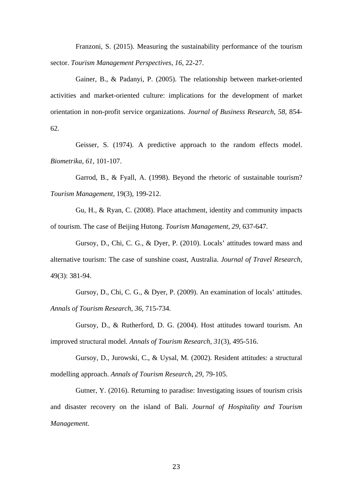Franzoni, S. (2015). Measuring the sustainability performance of the tourism sector. *Tourism Management Perspectives*, *16*, 22-27.

Gainer, B., & Padanyi, P. (2005). The relationship between market-oriented activities and market-oriented culture: implications for the development of market orientation in non-profit service organizations. *Journal of Business Research*, *58*, 854- 62.

Geisser, S. (1974). A predictive approach to the random effects model. *Biometrika*, *61*, 101-107.

Garrod, B., & Fyall, A. (1998). Beyond the rhetoric of sustainable tourism? *Tourism Management,* 19(3), 199-212.

Gu, H., & Ryan, C. (2008). Place attachment, identity and community impacts of tourism. The case of Beijing Hutong. *Tourism Management*, *29*, 637-647.

Gursoy, D., Chi, C. G., & Dyer, P. (2010). Locals' attitudes toward mass and alternative tourism: The case of sunshine coast, Australia. *Journal of Travel Research,*  49(3): 381-94.

Gursoy, D., Chi, C. G., & Dyer, P. (2009). An examination of locals' attitudes. *Annals of Tourism Research*, *36*, 715-734.

Gursoy, D., & Rutherford, D. G. (2004). Host attitudes toward tourism. An improved structural model*. Annals of Tourism Research*, *31*(3), 495-516.

Gursoy, D., Jurowski, C., & Uysal, M. (2002). Resident attitudes: a structural modelling approach. *Annals of Tourism Research*, *29*, 79-105.

Gutner, Y. (2016). Returning to paradise: Investigating issues of tourism crisis and disaster recovery on the island of Bali. *Journal of Hospitality and Tourism Management.*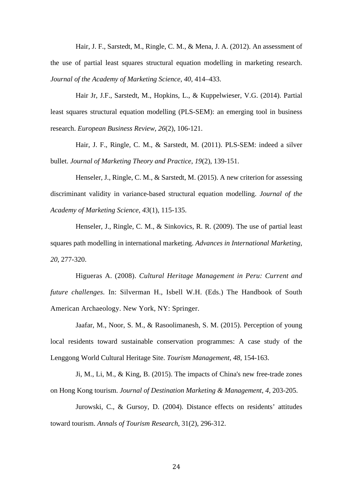Hair, J. F., Sarstedt, M., Ringle, C. M., & Mena, J. A. (2012). An assessment of the use of partial least squares structural equation modelling in marketing research. *Journal of the Academy of Marketing Science*, *40*, 414–433.

Hair Jr, J.F., Sarstedt, M., Hopkins, L., & Kuppelwieser, V.G. (2014). Partial least squares structural equation modelling (PLS-SEM): an emerging tool in business research. *European Business Review*, *26*(2), 106-121.

Hair, J. F., Ringle, C. M., & Sarstedt, M. (2011). PLS-SEM: indeed a silver bullet. *Journal of Marketing Theory and Practice*, *19*(2), 139-151.

Henseler, J., Ringle, C. M., & Sarstedt, M. (2015). A new criterion for assessing discriminant validity in variance-based structural equation modelling. *[Journal of the](http://link.springer.com/journal/11747)  [Academy of Marketing Science,](http://link.springer.com/journal/11747) 43*(1), 115-135.

Henseler, J., Ringle, C. M., & Sinkovics, R. R. (2009). The use of partial least squares path modelling in international marketing. *Advances in International Marketing*, *20*, 277-320.

Higueras A. (2008). *Cultural Heritage Management in Peru: Current and future challenges.* In: Silverman H., Isbell W.H. (Eds.) The Handbook of South American Archaeology. New York, NY: Springer.

Jaafar, M., Noor, S. M., & Rasoolimanesh, S. M. (2015). Perception of young local residents toward sustainable conservation programmes: A case study of the Lenggong World Cultural Heritage Site. *Tourism Management*, *48*, 154-163.

Ji, M., Li, M., & King, B. (2015). The impacts of China's new free-trade zones on Hong Kong tourism. *Journal of Destination Marketing & Management*, *4*, 203-205.

Jurowski, C., & Gursoy, D. (2004). Distance effects on residents' attitudes toward tourism. *Annals of Tourism Research*, 31(2), 296-312.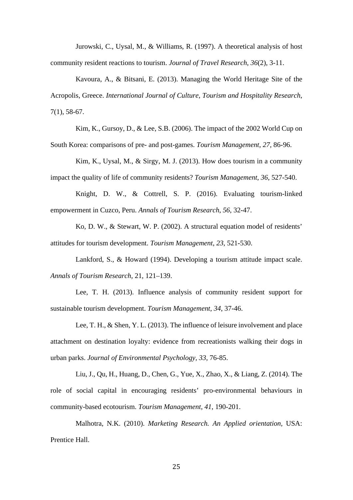Jurowski, C., Uysal, M., & Williams, R. (1997). A theoretical analysis of host community resident reactions to tourism. *Journal of Travel Research*, *36*(2), 3-11.

Kavoura, A., & Bitsani, E. (2013). Managing the World Heritage Site of the Acropolis, Greece. *International Journal of Culture, Tourism and Hospitality Research*, 7(1), 58-67.

Kim, K., Gursoy, D., & Lee, S.B. (2006). The impact of the 2002 World Cup on South Korea: comparisons of pre- and post-games. *Tourism Management*, *27*, 86-96.

Kim, K., Uysal, M., & Sirgy, M. J. (2013). How does tourism in a community impact the quality of life of community residents? *Tourism Management*, *36*, 527-540.

Knight, D. W., & Cottrell, S. P. (2016). Evaluating tourism-linked empowerment in Cuzco, Peru. *Annals of Tourism Research*, *56*, 32-47.

Ko, D. W., & Stewart, W. P. (2002). A structural equation model of residents' attitudes for tourism development. *Tourism Management*, *23*, 521-530.

Lankford, S., & Howard (1994). Developing a tourism attitude impact scale. *Annals of Tourism Research*, 21, 121–139.

Lee, T. H. (2013). Influence analysis of community resident support for sustainable tourism development. *Tourism Management*, *34*, 37-46.

Lee, T. H., & Shen, Y. L. (2013). The influence of leisure involvement and place attachment on destination loyalty: evidence from recreationists walking their dogs in urban parks. *Journal of Environmental Psychology, 33*, 76-85.

Liu, J., Qu, H., Huang, D., Chen, G., Yue, X., Zhao, X., & Liang, Z. (2014). The role of social capital in encouraging residents' pro-environmental behaviours in community-based ecotourism. *Tourism Management*, *41*, 190-201.

Malhotra, N.K. (2010). *Marketing Research. An Applied orientation,* USA: Prentice Hall.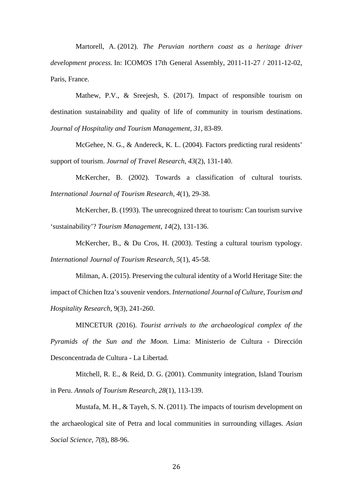Martorell, A. (2012). *The Peruvian northern coast as a heritage driver development process.* In: ICOMOS 17th General Assembly, 2011-11-27 / 2011-12-02, Paris, France.

Mathew, P.V., & Sreejesh, S. (2017). Impact of responsible tourism on destination sustainability and quality of life of community in tourism destinations. *Journal of Hospitality and Tourism Management, 31*, 83-89.

McGehee, N. G., & Andereck, K. L. (2004). Factors predicting rural residents' support of tourism. *Journal of Travel Research*, *43*(2), 131-140.

McKercher, B. (2002). Towards a classification of cultural tourists. *International Journal of Tourism Research, 4*(1), 29-38.

McKercher, B. (1993). The unrecognized threat to tourism: Can tourism survive 'sustainability'? *Tourism Management*, *14*(2), 131-136.

McKercher, B., & Du Cros, H. (2003). Testing a cultural tourism typology. *International Journal of Tourism Research, 5*(1), 45-58.

Milman, A. (2015). Preserving the cultural identity of a World Heritage Site: the impact of Chichen Itza's souvenir vendors. *International Journal of Culture, Tourism and Hospitality Research,* 9(3), 241-260.

MINCETUR (2016). *Tourist arrivals to the archaeological complex of the Pyramids of the Sun and the Moon.* Lima: Ministerio de Cultura - Dirección Desconcentrada de Cultura - La Libertad.

Mitchell, R. E., & Reid, D. G. (2001). Community integration, Island Tourism in Peru. *Annals of Tourism Research*, *28*(1), 113-139.

Mustafa, M. H., & Tayeh, S. N. (2011). The impacts of tourism development on the archaeological site of Petra and local communities in surrounding villages. *Asian Social Science, 7*(8), 88-96.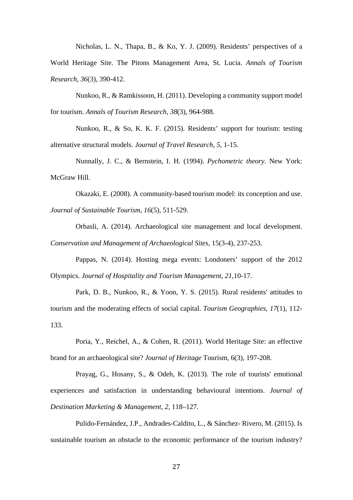Nicholas, L. N., Thapa, B., & Ko, Y. J. (2009). Residents' perspectives of a World Heritage Site. The Pitons Management Area, St. Lucia. *Annals of Tourism Research*, *36*(3), 390-412.

Nunkoo, R., & Ramkissoon, H. (2011). Developing a community support model for tourism. *Annals of Tourism Research*, *38*(3), 964-988.

Nunkoo, R., & So, K. K. F. (2015). Residents' support for tourism: testing alternative structural models. *Journal of Travel Research*, *5*, 1-15.

Nunnally, J. C., & Bernstein, I. H. (1994). *Pychometric theory*. New York: McGraw Hill.

Okazaki, E. (2008). A community-based tourism model: its conception and use. *Journal of Sustainable Tourism*, *16*(5), 511-529.

Orbasli, A. (2014). Archaeological site management and local development. *Conservation and Management of Archaeological Sites,* 15(3-4), 237-253.

Pappas, N. (2014). Hosting mega events: Londoners' support of the 2012 Olympics. *Journal of Hospitality and Tourism Management*, *21*,10-17.

Park, D. B., Nunkoo, R., & Yoon, Y. S. (2015). Rural residents' attitudes to tourism and the moderating effects of social capital. *Tourism Geographies, 17*(1), 112- 133.

Poria, Y., Reichel, A., & Cohen, R. (2011). World Heritage Site: an effective brand for an archaeological site? *Journal of Heritage* Tourism, 6(3), 197-208.

Prayag, G., Hosany, S., & Odeh, K. (2013). The role of tourists' emotional experiences and satisfaction in understanding behavioural intentions. *Journal of Destination Marketing & Management, 2,* 118–127.

Pulido-Fernández, J.P., Andrades-Caldito, L., & Sánchez- Rivero, M. (2015). Is sustainable tourism an obstacle to the economic performance of the tourism industry?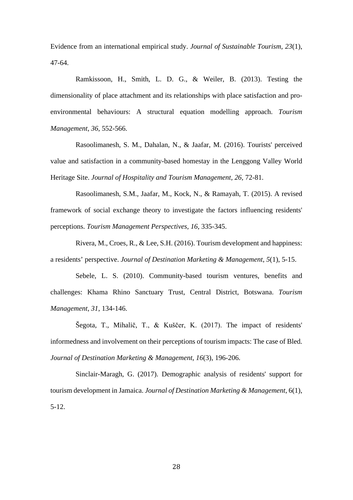Evidence from an international empirical study. *Journal of Sustainable Tourism, 23*(1), 47-64.

Ramkissoon, H., Smith, L. D. G., & Weiler, B. (2013). Testing the dimensionality of place attachment and its relationships with place satisfaction and proenvironmental behaviours: A structural equation modelling approach. *Tourism Management*, *36*, 552-566.

Rasoolimanesh, S. M., Dahalan, N., & Jaafar, M. (2016). Tourists' perceived value and satisfaction in a community-based homestay in the Lenggong Valley World Heritage Site. *Journal of Hospitality and Tourism Management, 26,* 72-81.

Rasoolimanesh, S.M., Jaafar, M., Kock, N., & Ramayah, T. (2015). A revised framework of social exchange theory to investigate the factors influencing residents' perceptions. *Tourism Management Perspectives, 16*, 335-345.

Rivera, M., Croes, R., & Lee, S.H. (2016). Tourism development and happiness: a residents' perspective. *Journal of Destination Marketing & Management*, *5*(1), 5-15.

Sebele, L. S. (2010). Community-based tourism ventures, benefits and challenges: Khama Rhino Sanctuary Trust, Central District, Botswana. *Tourism Management*, *31*, 134-146.

Šegota, T., Mihalič, T., & Kuščer, K. (2017). The impact of residents' informedness and involvement on their perceptions of tourism impacts: The case of Bled. *Journal of Destination Marketing & Management*, *16*(3), 196-206.

Sinclair-Maragh, G. (2017). Demographic analysis of residents' support for tourism development in Jamaica. *Journal of Destination Marketing & Management*, 6(1), 5-12.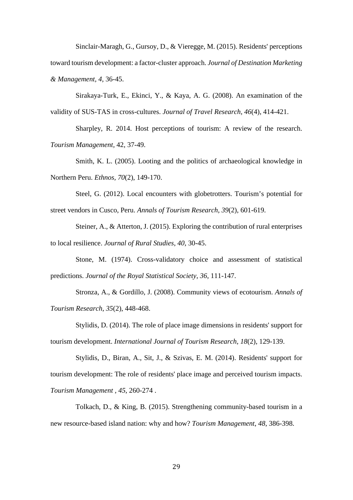Sinclair-Maragh, G., Gursoy, D., & Vieregge, M. (2015). Residents' perceptions toward tourism development: a factor-cluster approach. *Journal of Destination Marketing & Management, 4*, 36-45.

Sirakaya-Turk, E., Ekinci, Y., & Kaya, A. G. (2008). An examination of the validity of SUS-TAS in cross-cultures. *Journal of Travel Research*, *46*(4), 414-421.

Sharpley, R. 2014. Host perceptions of tourism: A review of the research. *Tourism Management,* 42, 37-49.

Smith, K. L. (2005). Looting and the politics of archaeological knowledge in Northern Peru. *Ethnos, 70*(2), 149-170.

Steel, G. (2012). Local encounters with globetrotters. Tourism's potential for street vendors in Cusco, Peru. *Annals of Tourism Research*, *39*(2), 601-619.

Steiner, A., & Atterton, J. (2015). Exploring the contribution of rural enterprises to local resilience. *Journal of Rural Studies*, *40*, 30-45.

Stone, M. (1974). Cross-validatory choice and assessment of statistical predictions. *Journal of the Royal Statistical Society*, *36*, 111-147.

Stronza, A., & Gordillo, J. (2008). Community views of ecotourism. *Annals of Tourism Research*, *35*(2), 448-468.

Stylidis, D. (2014). The role of place image dimensions in residents' support for tourism development. *International Journal of Tourism Research*, *18*(2), 129-139.

Stylidis, D., Biran, A., Sit, J., & Szivas, E. M. (2014). Residents' support for tourism development: The role of residents' place image and perceived tourism impacts. *Tourism Management , 45*, 260-274 .

Tolkach, D., & King, B. (2015). Strengthening community-based tourism in a new resource-based island nation: why and how? *Tourism Management*, *48*, 386-398.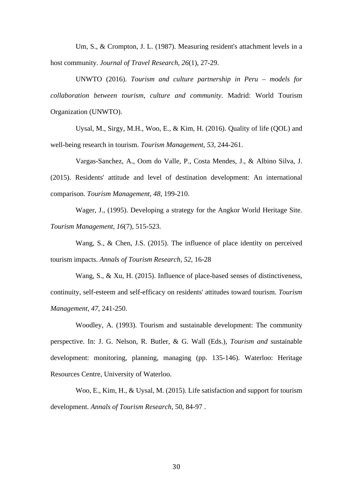Um, S., & Crompton, J. L. (1987). Measuring resident's attachment levels in a host community. *Journal of Travel Research, 26*(1), 27-29.

UNWTO (2016). *Tourism and culture partnership in Peru – models for collaboration between tourism, culture and community*. Madrid: World Tourism Organization (UNWTO).

Uysal, M., Sirgy, M.H., Woo, E., & Kim, H. (2016). Quality of life (QOL) and well-being research in tourism. *Tourism Management*, *53*, 244-261.

Vargas-Sanchez, A., Oom do Valle, P., Costa Mendes, J., & Albino Silva, J. (2015). Residents' attitude and level of destination development: An international comparison. *Tourism Management*, *48*, 199-210.

Wager, J., (1995). Developing a strategy for the Angkor World Heritage Site. *Tourism Management, 16*(7), 515-523.

Wang, S., & Chen, J.S. (2015). The influence of place identity on perceived tourism impacts. *Annals of Tourism Research*, *52*, 16-28

Wang, S., & Xu, H. (2015). Influence of place-based senses of distinctiveness, continuity, self-esteem and self-efficacy on residents' attitudes toward tourism. *Tourism Management*, *47*, 241-250.

Woodley, A. (1993). Tourism and sustainable development: The community perspective. In: J. G. Nelson, R. Butler, & G. Wall (Eds.), *Tourism and* sustainable development: monitoring, planning, managing (pp. 135-146). Waterloo: Heritage Resources Centre, University of Waterloo.

Woo, E., Kim, H., & Uysal, M. (2015). Life satisfaction and support for tourism development. *Annals of Tourism Research*, 50, 84-97 .